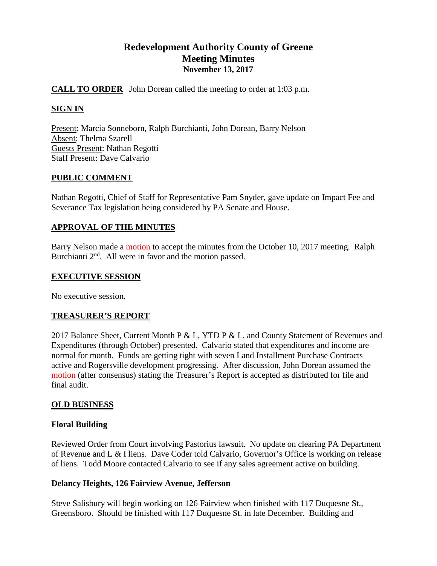## **Redevelopment Authority County of Greene Meeting Minutes November 13, 2017**

## **CALL TO ORDER** John Dorean called the meeting to order at 1:03 p.m.

## **SIGN IN**

Present: Marcia Sonneborn, Ralph Burchianti, John Dorean, Barry Nelson Absent: Thelma Szarell Guests Present: Nathan Regotti Staff Present: Dave Calvario

## **PUBLIC COMMENT**

Nathan Regotti, Chief of Staff for Representative Pam Snyder, gave update on Impact Fee and Severance Tax legislation being considered by PA Senate and House.

## **APPROVAL OF THE MINUTES**

Barry Nelson made a motion to accept the minutes from the October 10, 2017 meeting. Ralph Burchianti 2<sup>nd</sup>. All were in favor and the motion passed.

#### **EXECUTIVE SESSION**

No executive session.

## **TREASURER'S REPORT**

2017 Balance Sheet, Current Month P & L, YTD P & L, and County Statement of Revenues and Expenditures (through October) presented. Calvario stated that expenditures and income are normal for month. Funds are getting tight with seven Land Installment Purchase Contracts active and Rogersville development progressing. After discussion, John Dorean assumed the motion (after consensus) stating the Treasurer's Report is accepted as distributed for file and final audit.

## **OLD BUSINESS**

## **Floral Building**

Reviewed Order from Court involving Pastorius lawsuit. No update on clearing PA Department of Revenue and L & I liens. Dave Coder told Calvario, Governor's Office is working on release of liens. Todd Moore contacted Calvario to see if any sales agreement active on building.

## **Delancy Heights, 126 Fairview Avenue, Jefferson**

Steve Salisbury will begin working on 126 Fairview when finished with 117 Duquesne St., Greensboro. Should be finished with 117 Duquesne St. in late December. Building and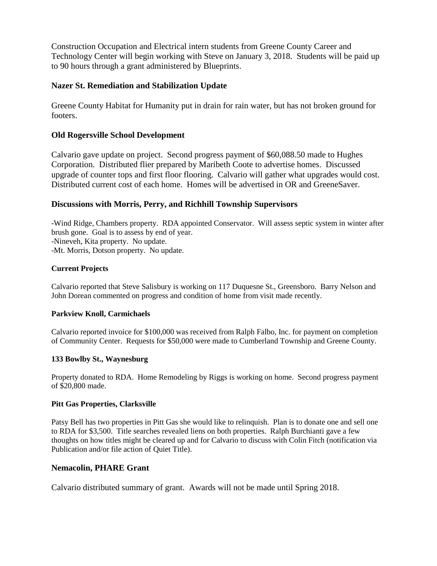Construction Occupation and Electrical intern students from Greene County Career and Technology Center will begin working with Steve on January 3, 2018. Students will be paid up to 90 hours through a grant administered by Blueprints.

## **Nazer St. Remediation and Stabilization Update**

Greene County Habitat for Humanity put in drain for rain water, but has not broken ground for footers.

## **Old Rogersville School Development**

Calvario gave update on project. Second progress payment of \$60,088.50 made to Hughes Corporation. Distributed flier prepared by Maribeth Coote to advertise homes. Discussed upgrade of counter tops and first floor flooring. Calvario will gather what upgrades would cost. Distributed current cost of each home. Homes will be advertised in OR and GreeneSaver.

## **Discussions with Morris, Perry, and Richhill Township Supervisors**

-Wind Ridge, Chambers property. RDA appointed Conservator. Will assess septic system in winter after brush gone. Goal is to assess by end of year. -Nineveh, Kita property. No update. -Mt. Morris, Dotson property. No update.

#### **Current Projects**

Calvario reported that Steve Salisbury is working on 117 Duquesne St., Greensboro. Barry Nelson and John Dorean commented on progress and condition of home from visit made recently.

#### **Parkview Knoll, Carmichaels**

Calvario reported invoice for \$100,000 was received from Ralph Falbo, Inc. for payment on completion of Community Center. Requests for \$50,000 were made to Cumberland Township and Greene County.

## **133 Bowlby St., Waynesburg**

Property donated to RDA. Home Remodeling by Riggs is working on home. Second progress payment of \$20,800 made.

#### **Pitt Gas Properties, Clarksville**

Patsy Bell has two properties in Pitt Gas she would like to relinquish. Plan is to donate one and sell one to RDA for \$3,500. Title searches revealed liens on both properties. Ralph Burchianti gave a few thoughts on how titles might be cleared up and for Calvario to discuss with Colin Fitch (notification via Publication and/or file action of Quiet Title).

## **Nemacolin, PHARE Grant**

Calvario distributed summary of grant. Awards will not be made until Spring 2018.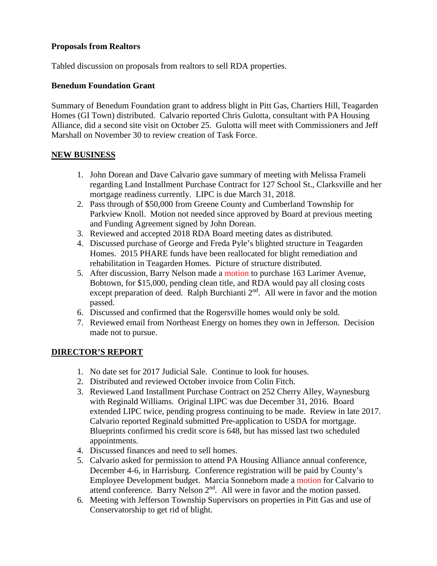## **Proposals from Realtors**

Tabled discussion on proposals from realtors to sell RDA properties.

## **Benedum Foundation Grant**

Summary of Benedum Foundation grant to address blight in Pitt Gas, Chartiers Hill, Teagarden Homes (GI Town) distributed. Calvario reported Chris Gulotta, consultant with PA Housing Alliance, did a second site visit on October 25. Gulotta will meet with Commissioners and Jeff Marshall on November 30 to review creation of Task Force.

## **NEW BUSINESS**

- 1. John Dorean and Dave Calvario gave summary of meeting with Melissa Frameli regarding Land Installment Purchase Contract for 127 School St., Clarksville and her mortgage readiness currently. LIPC is due March 31, 2018.
- 2. Pass through of \$50,000 from Greene County and Cumberland Township for Parkview Knoll. Motion not needed since approved by Board at previous meeting and Funding Agreement signed by John Dorean.
- 3. Reviewed and accepted 2018 RDA Board meeting dates as distributed.
- 4. Discussed purchase of George and Freda Pyle's blighted structure in Teagarden Homes. 2015 PHARE funds have been reallocated for blight remediation and rehabilitation in Teagarden Homes. Picture of structure distributed.
- 5. After discussion, Barry Nelson made a motion to purchase 163 Larimer Avenue, Bobtown, for \$15,000, pending clean title, and RDA would pay all closing costs except preparation of deed. Ralph Burchianti  $2<sup>nd</sup>$ . All were in favor and the motion passed.
- 6. Discussed and confirmed that the Rogersville homes would only be sold.
- 7. Reviewed email from Northeast Energy on homes they own in Jefferson. Decision made not to pursue.

## **DIRECTOR'S REPORT**

- 1. No date set for 2017 Judicial Sale. Continue to look for houses.
- 2. Distributed and reviewed October invoice from Colin Fitch.
- 3. Reviewed Land Installment Purchase Contract on 252 Cherry Alley, Waynesburg with Reginald Williams. Original LIPC was due December 31, 2016. Board extended LIPC twice, pending progress continuing to be made. Review in late 2017. Calvario reported Reginald submitted Pre-application to USDA for mortgage. Blueprints confirmed his credit score is 648, but has missed last two scheduled appointments.
- 4. Discussed finances and need to sell homes.
- 5. Calvario asked for permission to attend PA Housing Alliance annual conference, December 4-6, in Harrisburg. Conference registration will be paid by County's Employee Development budget. Marcia Sonneborn made a motion for Calvario to attend conference. Barry Nelson 2<sup>nd</sup>. All were in favor and the motion passed.
- 6. Meeting with Jefferson Township Supervisors on properties in Pitt Gas and use of Conservatorship to get rid of blight.